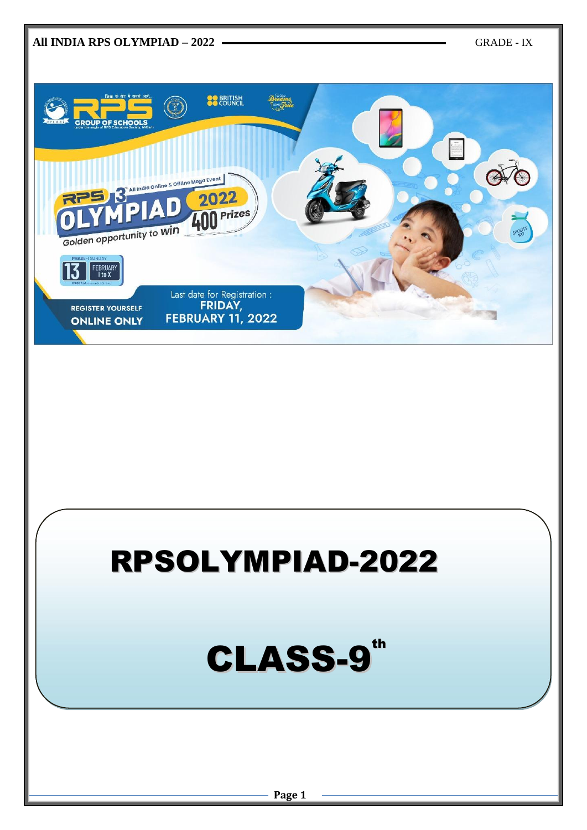

## RPSOLYMPIAD-2022

# CLASS-9<sup>th</sup>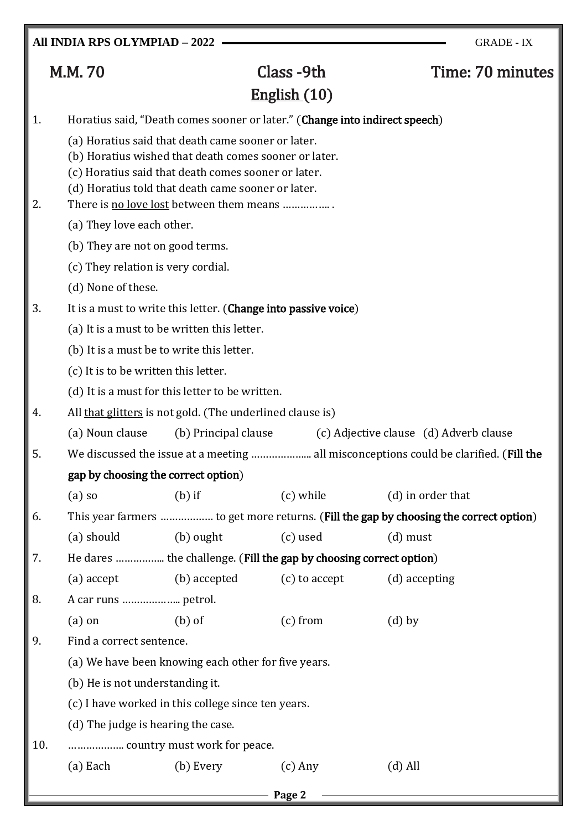**All INDIA RPS OLYMPIAD – 2022** GRADE - IX

# English (10)

## M.M. 70 Class -9th Time: 70 minutes

| 1.  | Horatius said, "Death comes sooner or later." (Change into indirect speech)                                 |                                                                                                           |               |                                                                                       |  |  |  |  |  |
|-----|-------------------------------------------------------------------------------------------------------------|-----------------------------------------------------------------------------------------------------------|---------------|---------------------------------------------------------------------------------------|--|--|--|--|--|
|     | (a) Horatius said that death came sooner or later.<br>(b) Horatius wished that death comes sooner or later. |                                                                                                           |               |                                                                                       |  |  |  |  |  |
|     |                                                                                                             |                                                                                                           |               |                                                                                       |  |  |  |  |  |
|     |                                                                                                             | (c) Horatius said that death comes sooner or later.<br>(d) Horatius told that death came sooner or later. |               |                                                                                       |  |  |  |  |  |
| 2.  |                                                                                                             | There is no love lost between them means                                                                  |               |                                                                                       |  |  |  |  |  |
|     | (a) They love each other.                                                                                   |                                                                                                           |               |                                                                                       |  |  |  |  |  |
|     |                                                                                                             | (b) They are not on good terms.                                                                           |               |                                                                                       |  |  |  |  |  |
|     | (c) They relation is very cordial.                                                                          |                                                                                                           |               |                                                                                       |  |  |  |  |  |
|     | (d) None of these.                                                                                          |                                                                                                           |               |                                                                                       |  |  |  |  |  |
| 3.  |                                                                                                             | It is a must to write this letter. (Change into passive voice)                                            |               |                                                                                       |  |  |  |  |  |
|     |                                                                                                             | (a) It is a must to be written this letter.                                                               |               |                                                                                       |  |  |  |  |  |
|     | (b) It is a must be to write this letter.                                                                   |                                                                                                           |               |                                                                                       |  |  |  |  |  |
|     | (c) It is to be written this letter.                                                                        |                                                                                                           |               |                                                                                       |  |  |  |  |  |
|     |                                                                                                             | (d) It is a must for this letter to be written.                                                           |               |                                                                                       |  |  |  |  |  |
| 4.  |                                                                                                             | All that glitters is not gold. (The underlined clause is)                                                 |               |                                                                                       |  |  |  |  |  |
|     | (a) Noun clause                                                                                             | (b) Principal clause                                                                                      |               | (c) Adjective clause (d) Adverb clause                                                |  |  |  |  |  |
| 5.  |                                                                                                             |                                                                                                           |               | We discussed the issue at a meeting  all misconceptions could be clarified. (Fill the |  |  |  |  |  |
|     | gap by choosing the correct option)                                                                         |                                                                                                           |               |                                                                                       |  |  |  |  |  |
|     | $(a)$ so                                                                                                    | $(b)$ if                                                                                                  | (c) while     | (d) in order that                                                                     |  |  |  |  |  |
| 6.  |                                                                                                             |                                                                                                           |               | This year farmers  to get more returns. (Fill the gap by choosing the correct option) |  |  |  |  |  |
|     | (a) should                                                                                                  | (b) ought                                                                                                 | (c) used      | $(d)$ must                                                                            |  |  |  |  |  |
| 7.  |                                                                                                             | He dares  the challenge. (Fill the gap by choosing correct option)                                        |               |                                                                                       |  |  |  |  |  |
|     | $(a)$ accept                                                                                                | (b) accepted                                                                                              | (c) to accept | (d) accepting                                                                         |  |  |  |  |  |
| 8.  |                                                                                                             |                                                                                                           |               |                                                                                       |  |  |  |  |  |
|     | $(a)$ on                                                                                                    | $(b)$ of                                                                                                  | $(c)$ from    | $(d)$ by                                                                              |  |  |  |  |  |
| 9.  | Find a correct sentence.                                                                                    |                                                                                                           |               |                                                                                       |  |  |  |  |  |
|     |                                                                                                             | (a) We have been knowing each other for five years.                                                       |               |                                                                                       |  |  |  |  |  |
|     | (b) He is not understanding it.                                                                             |                                                                                                           |               |                                                                                       |  |  |  |  |  |
|     | (c) I have worked in this college since ten years.<br>(d) The judge is hearing the case.                    |                                                                                                           |               |                                                                                       |  |  |  |  |  |
|     |                                                                                                             |                                                                                                           |               |                                                                                       |  |  |  |  |  |
| 10. |                                                                                                             |                                                                                                           |               |                                                                                       |  |  |  |  |  |
|     |                                                                                                             |                                                                                                           |               |                                                                                       |  |  |  |  |  |

|--|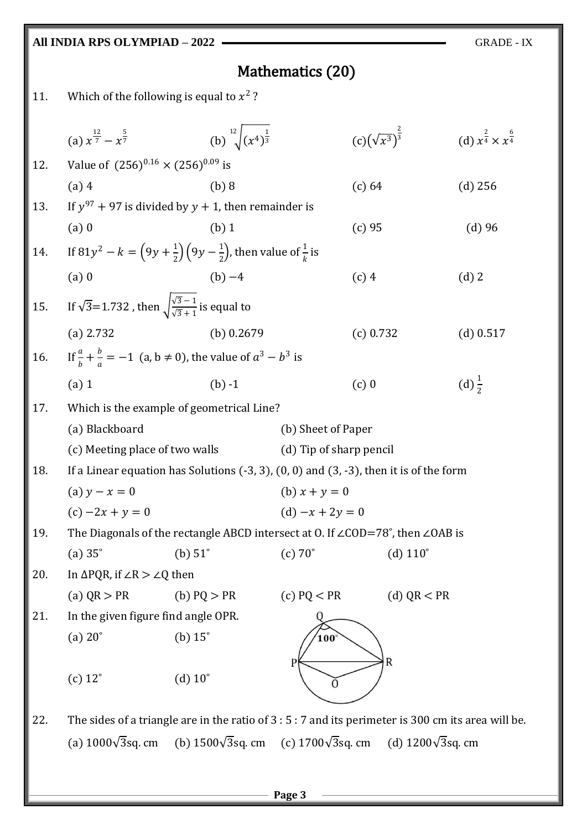#### **All INDIA RPS OLYMPIAD – 2022** GRADE - IX Mathematics (20) 11. Which of the following is equal to  $x^2$ ? 2 (a)  $x^{\frac{12}{7}} - x^{\frac{5}{7}}$  $\frac{5}{7}$  (b)  $\sqrt[12]{(x^4)^{\frac{1}{3}}}$ 12 (d)  $x^{\frac{2}{4}} \times x^{\frac{6}{4}}$  $(c)(\sqrt{x^3})$ 3 3 4 12. Value of  $(256)^{0.16} \times (256)^{0.09}$  is (a) 4 (b) 8 (c) 64 (d) 256 13. If  $y^{97}$  + 97 is divided by  $y$  + 1, then remainder is (a) 0 (b) 1 (c) 95 (d) 96 14. If  $81y^2 - k = (9y + \frac{1}{2})$  $\frac{1}{2}$  $\left(9y - \frac{1}{2}\right)$  $\frac{1}{2}$ ), then value of  $\frac{1}{k}$  is (a) 0 (b) −4 (c) 4 (d) 2 15. If  $\sqrt{3}$ =1.732, then  $\sqrt{\frac{\sqrt{3}-1}{\sqrt{2}+1}}$  $\frac{\sqrt{3}+1}{\sqrt{3}+1}$  is equal to (a) 2.732 (b) 0.2679 (c) 0.732 (d) 0.517 16. If  $\frac{a}{b} + \frac{b}{a}$  $\frac{b}{a} = -1$  (a, b  $\neq$  0), the value of  $a^3 - b^3$  is (a) 1 (b) -1 (c) 0 (d)  $\frac{1}{2}$ (d)  $\frac{1}{2}$ 17. Which is the example of geometrical Line? (a) Blackboard (b) Sheet of Paper (c) Meeting place of two walls (d) Tip of sharp pencil 18. If a Linear equation has Solutions (-3, 3), (0, 0) and (3, -3), then it is of the form (a)  $y - x = 0$  (b)  $x + y = 0$ (c)  $-2x + y = 0$  (d)  $-x + 2y = 0$ 19. The Diagonals of the rectangle ABCD intersect at O. If ∠COD=78˚, then ∠OAB is (a)  $35^\circ$  (b)  $51^\circ$  (c)  $70^\circ$  (d)  $110^\circ$ 20. In  $\Delta PQR$ , if  $\angle R > \angle Q$  then (a)  $QR > PR$  (b)  $PQ > PR$  (c)  $PQ < PR$  (d)  $QR < PR$ 21. In the given figure find angle OPR. (a)  $20^{\circ}$  (b)  $15^{\circ}$  $0<sub>0</sub>$  $\overline{R}$ (c)  $12^{\circ}$  (d)  $10^{\circ}$

22. The sides of a triangle are in the ratio of 3 : 5 : 7 and its perimeter is 300 cm its area will be. (a)  $1000\sqrt{3}$ sq. cm (b)  $1500\sqrt{3}$ sq. cm (c)  $1700\sqrt{3}$ sq. cm (d)  $1200\sqrt{3}$ sq. cm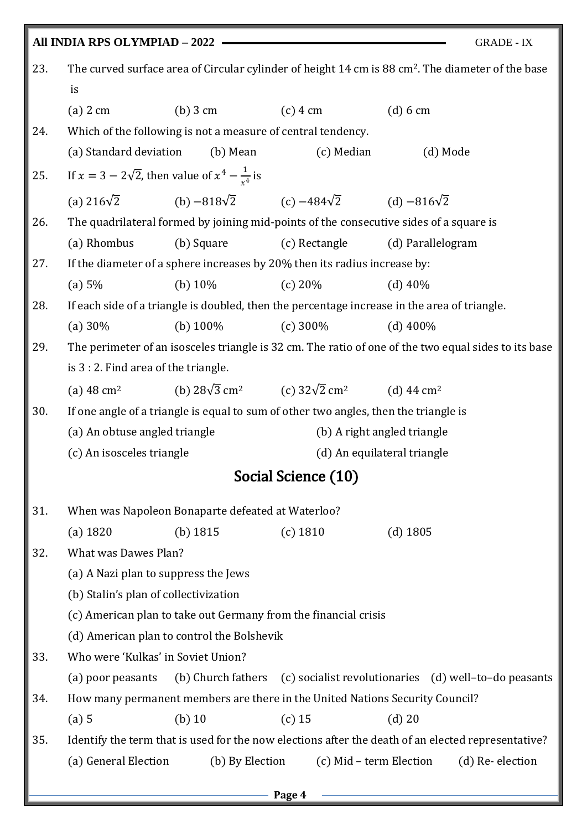|     | All INDIA RPS OLYMPIAD - 2022                                                                                 |                                                                                      |                                                                                          | <b>GRADE - IX</b>                                                                                    |  |  |  |  |
|-----|---------------------------------------------------------------------------------------------------------------|--------------------------------------------------------------------------------------|------------------------------------------------------------------------------------------|------------------------------------------------------------------------------------------------------|--|--|--|--|
| 23. | The curved surface area of Circular cylinder of height 14 cm is 88 cm <sup>2</sup> . The diameter of the base |                                                                                      |                                                                                          |                                                                                                      |  |  |  |  |
|     | is                                                                                                            |                                                                                      |                                                                                          |                                                                                                      |  |  |  |  |
|     | $(a)$ 2 cm                                                                                                    | $(b)$ 3 cm                                                                           | $(c)$ 4 cm                                                                               | $(d) 6$ cm                                                                                           |  |  |  |  |
| 24. |                                                                                                               | Which of the following is not a measure of central tendency.                         |                                                                                          |                                                                                                      |  |  |  |  |
|     | (a) Standard deviation                                                                                        | (b) Mean                                                                             | (c) Median                                                                               | (d) Mode                                                                                             |  |  |  |  |
| 25. | If $x = 3 - 2\sqrt{2}$ , then value of $x^4 - \frac{1}{x^4}$ is                                               |                                                                                      |                                                                                          |                                                                                                      |  |  |  |  |
|     |                                                                                                               | (a) $216\sqrt{2}$ (b) $-818\sqrt{2}$ (c) $-484\sqrt{2}$ (d) $-816\sqrt{2}$           |                                                                                          |                                                                                                      |  |  |  |  |
| 26. |                                                                                                               |                                                                                      |                                                                                          | The quadrilateral formed by joining mid-points of the consecutive sides of a square is               |  |  |  |  |
|     | (a) Rhombus                                                                                                   | (b) Square                                                                           | (c) Rectangle                                                                            | (d) Parallelogram                                                                                    |  |  |  |  |
| 27. |                                                                                                               | If the diameter of a sphere increases by 20% then its radius increase by:            |                                                                                          |                                                                                                      |  |  |  |  |
|     | (a) 5%                                                                                                        | (b) $10\%$                                                                           | (c) 20%                                                                                  | $(d)$ 40%                                                                                            |  |  |  |  |
| 28. |                                                                                                               |                                                                                      |                                                                                          | If each side of a triangle is doubled, then the percentage increase in the area of triangle.         |  |  |  |  |
|     | (a) $30\%$                                                                                                    | (b) $100\%$                                                                          | (c) $300\%$                                                                              | $(d)$ 400%                                                                                           |  |  |  |  |
| 29. |                                                                                                               |                                                                                      |                                                                                          | The perimeter of an isosceles triangle is 32 cm. The ratio of one of the two equal sides to its base |  |  |  |  |
|     | is 3 : 2. Find area of the triangle.                                                                          |                                                                                      |                                                                                          |                                                                                                      |  |  |  |  |
|     | (a) $48 \text{ cm}^2$                                                                                         |                                                                                      | (b) $28\sqrt{3}$ cm <sup>2</sup> (c) $32\sqrt{2}$ cm <sup>2</sup> (d) 44 cm <sup>2</sup> |                                                                                                      |  |  |  |  |
| 30. |                                                                                                               | If one angle of a triangle is equal to sum of other two angles, then the triangle is |                                                                                          |                                                                                                      |  |  |  |  |
|     | (a) An obtuse angled triangle                                                                                 |                                                                                      |                                                                                          | (b) A right angled triangle                                                                          |  |  |  |  |
|     | (c) An isosceles triangle                                                                                     |                                                                                      |                                                                                          | (d) An equilateral triangle                                                                          |  |  |  |  |
|     |                                                                                                               |                                                                                      | Social Science (10)                                                                      |                                                                                                      |  |  |  |  |
| 31. |                                                                                                               | When was Napoleon Bonaparte defeated at Waterloo?                                    |                                                                                          |                                                                                                      |  |  |  |  |
|     | $(a)$ 1820                                                                                                    | (b) $1815$                                                                           | $(c)$ 1810                                                                               | $(d)$ 1805                                                                                           |  |  |  |  |
| 32. | What was Dawes Plan?                                                                                          |                                                                                      |                                                                                          |                                                                                                      |  |  |  |  |
|     | (a) A Nazi plan to suppress the Jews                                                                          |                                                                                      |                                                                                          |                                                                                                      |  |  |  |  |
|     | (b) Stalin's plan of collectivization                                                                         |                                                                                      |                                                                                          |                                                                                                      |  |  |  |  |
|     | (c) American plan to take out Germany from the financial crisis                                               |                                                                                      |                                                                                          |                                                                                                      |  |  |  |  |
|     | (d) American plan to control the Bolshevik                                                                    |                                                                                      |                                                                                          |                                                                                                      |  |  |  |  |
| 33. | Who were 'Kulkas' in Soviet Union?                                                                            |                                                                                      |                                                                                          |                                                                                                      |  |  |  |  |
|     | (a) poor peasants                                                                                             |                                                                                      |                                                                                          | (b) Church fathers (c) socialist revolutionaries (d) well-to-do peasants                             |  |  |  |  |
| 34. |                                                                                                               | How many permanent members are there in the United Nations Security Council?         |                                                                                          |                                                                                                      |  |  |  |  |
|     | (a) 5                                                                                                         | $(b)$ 10                                                                             | $(c)$ 15                                                                                 | $(d)$ 20                                                                                             |  |  |  |  |
| 35. |                                                                                                               |                                                                                      |                                                                                          | Identify the term that is used for the now elections after the death of an elected representative?   |  |  |  |  |
|     | (a) General Election                                                                                          | (b) By Election                                                                      |                                                                                          | (c) Mid – term Election<br>(d) Re-election                                                           |  |  |  |  |
|     |                                                                                                               |                                                                                      |                                                                                          |                                                                                                      |  |  |  |  |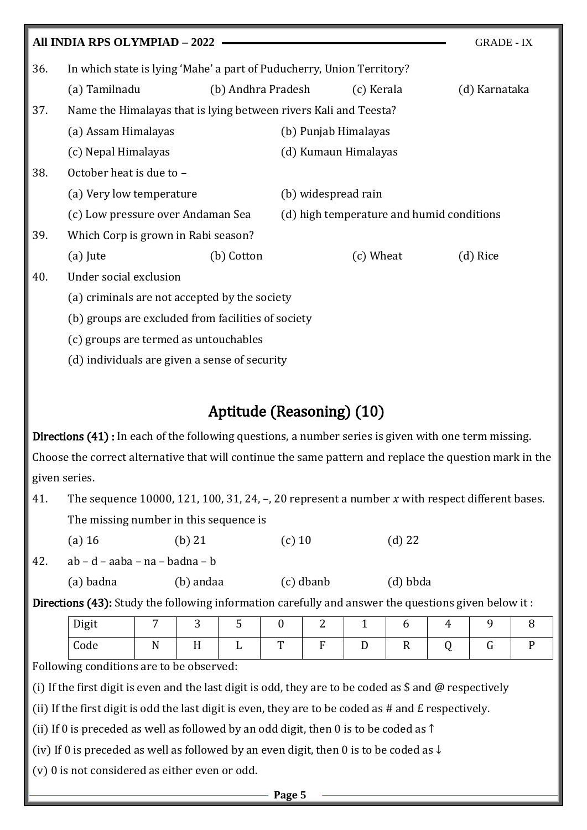|     | All INDIA RPS OLYMPIAD - 2022                                         |                    |                      |                                           | <b>GRADE - IX</b> |  |  |
|-----|-----------------------------------------------------------------------|--------------------|----------------------|-------------------------------------------|-------------------|--|--|
| 36. | In which state is lying 'Mahe' a part of Puducherry, Union Territory? |                    |                      |                                           |                   |  |  |
|     | (a) Tamilnadu                                                         | (b) Andhra Pradesh |                      | (c) Kerala                                | (d) Karnataka     |  |  |
| 37. | Name the Himalayas that is lying between rivers Kali and Teesta?      |                    |                      |                                           |                   |  |  |
|     | (a) Assam Himalayas                                                   |                    | (b) Punjab Himalayas |                                           |                   |  |  |
|     | (c) Nepal Himalayas                                                   |                    | (d) Kumaun Himalayas |                                           |                   |  |  |
| 38. | October heat is due to -                                              |                    |                      |                                           |                   |  |  |
|     | (a) Very low temperature                                              |                    | (b) widespread rain  |                                           |                   |  |  |
|     | (c) Low pressure over Andaman Sea                                     |                    |                      | (d) high temperature and humid conditions |                   |  |  |
| 39. | Which Corp is grown in Rabi season?                                   |                    |                      |                                           |                   |  |  |
|     | $(a)$ Jute                                                            | (b) Cotton         |                      | (c) Wheat                                 | (d) Rice          |  |  |
| 40. | Under social exclusion                                                |                    |                      |                                           |                   |  |  |
|     | (a) criminals are not accepted by the society                         |                    |                      |                                           |                   |  |  |
|     | (b) groups are excluded from facilities of society                    |                    |                      |                                           |                   |  |  |
|     | (c) groups are termed as untouchables                                 |                    |                      |                                           |                   |  |  |

(d) individuals are given a sense of security

## Aptitude (Reasoning) (10)

Directions (41) : In each of the following questions, a number series is given with one term missing. Choose the correct alternative that will continue the same pattern and replace the question mark in the given series.

- 41. The sequence 10000, 121, 100, 31, 24,  $-$ , 20 represent a number x with respect different bases. The missing number in this sequence is
	- (a) 16 (b) 21 (c) 10 (d) 22

42.  $ab - d - aaba - na - badna - b$ 

(a) badna (b) andaa (c) dbanb (d) bbda

Directions (43): Study the following information carefully and answer the questions given below it :

| Digit | $\overline{\phantom{0}}$ | ັ            | -<br>ັ |              |   |   | ັ                |  |  |
|-------|--------------------------|--------------|--------|--------------|---|---|------------------|--|--|
| Code  | N<br>$\mathbf{r}$        | $\mathbf{r}$ | .,     | $\mathbf{m}$ | - | - | $\boldsymbol{r}$ |  |  |

Following conditions are to be observed:

(i) If the first digit is even and the last digit is odd, they are to be coded as \$ and @ respectively

(ii) If the first digit is odd the last digit is even, they are to be coded as  $#$  and  $E$  respectively.

(ii) If 0 is preceded as well as followed by an odd digit, then 0 is to be coded as  $\uparrow$ 

(iv) If 0 is preceded as well as followed by an even digit, then 0 is to be coded as  $\downarrow$ 

(v) 0 is not considered as either even or odd.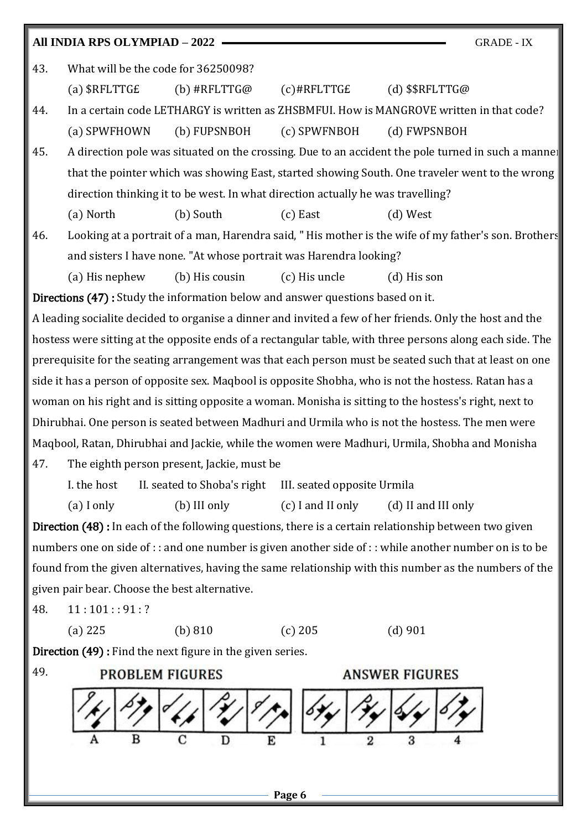## **All INDIA RPS OLYMPIAD – 2022** GRADE - IX 43. What will be the code for 36250098? (a) \$RFLTTG£ (b) #RFLTTG@ (c)#RFLTTG£ (d) \$\$RFLTTG@ 44. In a certain code LETHARGY is written as ZHSBMFUI. How is MANGROVE written in that code? (a) SPWFHOWN (b) FUPSNBOH (c) SPWFNBOH (d) FWPSNBOH 45. A direction pole was situated on the crossing. Due to an accident the pole turned in such a manner that the pointer which was showing East, started showing South. One traveler went to the wrong

(a) North (b) South (c) East (d) West

direction thinking it to be west. In what direction actually he was travelling?

46. Looking at a portrait of a man, Harendra said, " His mother is the wife of my father's son. Brothers and sisters I have none. "At whose portrait was Harendra looking?

(a) His nephew (b) His cousin (c) His uncle (d) His son

Directions (47) : Study the information below and answer questions based on it.

A leading socialite decided to organise a dinner and invited a few of her friends. Only the host and the hostess were sitting at the opposite ends of a rectangular table, with three persons along each side. The prerequisite for the seating arrangement was that each person must be seated such that at least on one side it has a person of opposite sex. Maqbool is opposite Shobha, who is not the hostess. Ratan has a woman on his right and is sitting opposite a woman. Monisha is sitting to the hostess's right, next to Dhirubhai. One person is seated between Madhuri and Urmila who is not the hostess. The men were Maqbool, Ratan, Dhirubhai and Jackie, while the women were Madhuri, Urmila, Shobha and Monisha 47. The eighth person present, Jackie, must be

I. the host II. seated to Shoba's right III. seated opposite Urmila

(a) I only (b) III only (c) I and II only (d) II and III only

Direction (48) : In each of the following questions, there is a certain relationship between two given numbers one on side of : : and one number is given another side of : : while another number on is to be found from the given alternatives, having the same relationship with this number as the numbers of the given pair bear. Choose the best alternative.

 $48. \quad 11 : 101 :: 91 : ?$ 

(a) 225 (b) 810 (c) 205 (d) 901

Direction (49) : Find the next figure in the given series.

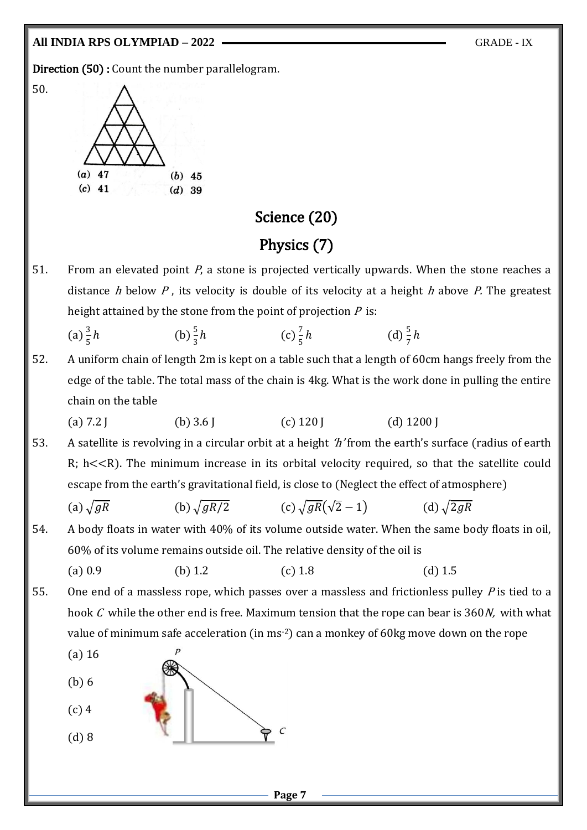#### **All INDIA RPS OLYMPIAD – 2022** GRADE - IX

50.

Direction (50) : Count the number parallelogram.



#### Science (20)

#### Physics (7)

51. From an elevated point  $P$ , a stone is projected vertically upwards. When the stone reaches a distance h below P, its velocity is double of its velocity at a height h above P. The greatest height attained by the stone from the point of projection  $P$  is:

(a) 
$$
\frac{3}{5}h
$$
 (b)  $\frac{5}{3}h$  (c)  $\frac{7}{5}h$  (d)  $\frac{5}{7}h$ 

- 52. A uniform chain of length 2m is kept on a table such that a length of 60cm hangs freely from the edge of the table. The total mass of the chain is 4kg. What is the work done in pulling the entire chain on the table
	- (a)  $7.2$  J (b)  $3.6$  J (c)  $120$  J (d)  $1200$  J
- 53. A satellite is revolving in a circular orbit at a height 'h' from the earth's surface (radius of earth  $R$ ; h $<<$ R). The minimum increase in its orbital velocity required, so that the satellite could escape from the earth's gravitational field, is close to (Neglect the effect of atmosphere)
	- (a)  $\sqrt{gR}$  (b)  $\sqrt{gR/2}$  (c)  $\sqrt{gR}(\sqrt{2}-1)$  (d)  $\sqrt{2gR}$
- 54. A body floats in water with 40% of its volume outside water. When the same body floats in oil, 60% of its volume remains outside oil. The relative density of the oil is

(a) 0.9 (b) 1.2 (c) 1.8 (d) 1.5

55. One end of a massless rope, which passes over a massless and frictionless pulley  $P$  is tied to a hook  $C$  while the other end is free. Maximum tension that the rope can bear is 360 $N$ , with what value of minimum safe acceleration (in ms-2) can a monkey of 60kg move down on the rope

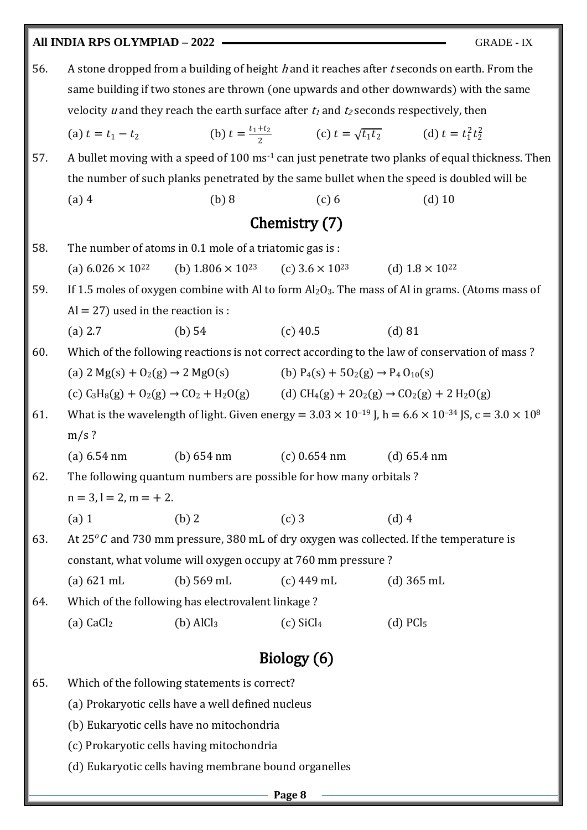## **All INDIA RPS OLYMPIAD – 2022** GRADE - IX 56. A stone dropped from a building of height h and it reaches after t seconds on earth. From the same building if two stones are thrown (one upwards and other downwards) with the same velocity u and they reach the earth surface after  $t_1$  and  $t_2$  seconds respectively, then (a)  $t = t_1 - t_2$  $t_1 + t_2$  $\frac{t_1t_2}{2}$  (c)  $t = \sqrt{t_1 t_2}$  (d)  $t = t_1^2 t_2^2$ 57. A bullet moving with a speed of 100 ms<sup>-1</sup> can just penetrate two planks of equal thickness. Then the number of such planks penetrated by the same bullet when the speed is doubled will be (a) 4 (b) 8 (c) 6 (d) 10 Chemistry (7) 58. The number of atoms in 0.1 mole of a triatomic gas is : (a)  $6.026 \times 10^{22}$  (b)  $1.806 \times 10^{23}$  (c)  $3.6 \times 10^{23}$  (d)  $1.8 \times 10^{22}$ 59. If 1.5 moles of oxygen combine with Al to form  $Al_2O_3$ . The mass of Al in grams. (Atoms mass of  $Al = 27$ ) used in the reaction is : (a) 2.7 (b) 54 (c) 40.5 (d) 81 60. Which of the following reactions is not correct according to the law of conservation of mass ? (a)  $2 \text{ Mg}(s) + 0_2(g) \rightarrow 2 \text{ MgO}(s)$  (b)  $P_4(s) + 50_2(g) \rightarrow P_4 0_{10}(s)$ (c)  $C_3H_8(g) + O_2(g) \rightarrow CO_2 + H_2O(g)$  (d)  $CH_4(g) + 2O_2(g) \rightarrow CO_2(g) + 2H_2O(g)$ 61. What is the wavelength of light. Given energy =  $3.03 \times 10^{-19}$  J, h =  $6.6 \times 10^{-34}$  JS, c =  $3.0 \times 10^8$  $m/s$  ? (a) 6.54 nm (b) 654 nm (c) 0.654 nm (d) 65.4 nm 62. The following quantum numbers are possible for how many orbitals ?  $n = 3, l = 2, m = +2.$ (a) 1 (b) 2 (c) 3 (d) 4 63. At 25 $^{\circ}$ C and 730 mm pressure, 380 mL of dry oxygen was collected. If the temperature is constant, what volume will oxygen occupy at 760 mm pressure ? (a) 621 mL (b) 569 mL (c) 449 mL (d) 365 mL 64. Which of the following has electrovalent linkage ? (a) CaCl<sub>2</sub> (b)  $AlCl<sub>3</sub>$  (c)  $SiCl<sub>4</sub>$  (d)  $PCl<sub>5</sub>$ Biology (6) 65. Which of the following statements is correct? (a) Prokaryotic cells have a well defined nucleus (b) Eukaryotic cells have no mitochondria (c) Prokaryotic cells having mitochondria

(d) Eukaryotic cells having membrane bound organelles